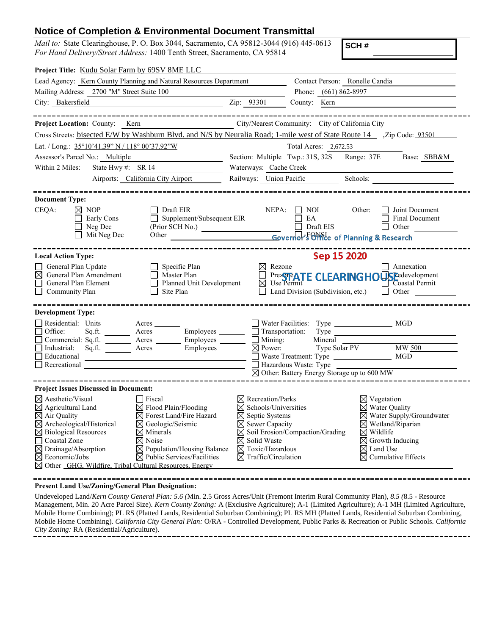## **Notice of Completion & Environmental Document Transmittal**

*Mail to:* State Clearinghouse, P. O. Box 3044, Sacramento, CA 95812-3044 (916) 445-0613 *For Hand Delivery/Street Address:* 1400 Tenth Street, Sacramento, CA 95814

**SCH #**

| Project Title: Kudu Solar Farm by 69SV 8ME LLC                                                                                                                                                                                                                                                                                                                                                                                                                                                                                                                                                                        |                                                                                                                                                                                                                                                                                                                                                                                                                                                                                                                          |  |  |  |  |  |
|-----------------------------------------------------------------------------------------------------------------------------------------------------------------------------------------------------------------------------------------------------------------------------------------------------------------------------------------------------------------------------------------------------------------------------------------------------------------------------------------------------------------------------------------------------------------------------------------------------------------------|--------------------------------------------------------------------------------------------------------------------------------------------------------------------------------------------------------------------------------------------------------------------------------------------------------------------------------------------------------------------------------------------------------------------------------------------------------------------------------------------------------------------------|--|--|--|--|--|
| Lead Agency: Kern County Planning and Natural Resources Department                                                                                                                                                                                                                                                                                                                                                                                                                                                                                                                                                    | Contact Person: Ronelle Candia                                                                                                                                                                                                                                                                                                                                                                                                                                                                                           |  |  |  |  |  |
| Mailing Address: 2700 "M" Street Suite 100                                                                                                                                                                                                                                                                                                                                                                                                                                                                                                                                                                            | Phone: (661) 862-8997                                                                                                                                                                                                                                                                                                                                                                                                                                                                                                    |  |  |  |  |  |
| Zip: 93301<br>City: Bakersfield                                                                                                                                                                                                                                                                                                                                                                                                                                                                                                                                                                                       | County: Kern                                                                                                                                                                                                                                                                                                                                                                                                                                                                                                             |  |  |  |  |  |
| ______________________<br>Project Location: County: Kern                                                                                                                                                                                                                                                                                                                                                                                                                                                                                                                                                              | . _ _ _ _ _ _ _ _ _ _ _ _ _ _ _<br>City/Nearest Community: City of California City                                                                                                                                                                                                                                                                                                                                                                                                                                       |  |  |  |  |  |
|                                                                                                                                                                                                                                                                                                                                                                                                                                                                                                                                                                                                                       | Cross Streets: bisected E/W by Washburn Blvd. and N/S by Neuralia Road; 1-mile west of State Route 14 .Zip Code: 93501                                                                                                                                                                                                                                                                                                                                                                                                   |  |  |  |  |  |
| Lat. / Long.: 35°10'41.39" N / 118° 00'37.92"W                                                                                                                                                                                                                                                                                                                                                                                                                                                                                                                                                                        | Total Acres: 2,672.53                                                                                                                                                                                                                                                                                                                                                                                                                                                                                                    |  |  |  |  |  |
| Assessor's Parcel No.: Multiple                                                                                                                                                                                                                                                                                                                                                                                                                                                                                                                                                                                       | Section: Multiple Twp.: 31S, 32S Range: 37E Base: SBB&M                                                                                                                                                                                                                                                                                                                                                                                                                                                                  |  |  |  |  |  |
| State Hwy #: $SR 14$<br>Within 2 Miles:                                                                                                                                                                                                                                                                                                                                                                                                                                                                                                                                                                               | Waterways: Cache Creek                                                                                                                                                                                                                                                                                                                                                                                                                                                                                                   |  |  |  |  |  |
| Airports: California City Airport                                                                                                                                                                                                                                                                                                                                                                                                                                                                                                                                                                                     | Railways: Union Pacific<br>Schools:                                                                                                                                                                                                                                                                                                                                                                                                                                                                                      |  |  |  |  |  |
| <b>Document Type:</b>                                                                                                                                                                                                                                                                                                                                                                                                                                                                                                                                                                                                 |                                                                                                                                                                                                                                                                                                                                                                                                                                                                                                                          |  |  |  |  |  |
| CEQA:<br>$\boxtimes$ NOP<br>$\Box$ Draft EIR<br>$\Box$ Early Cons<br>$\Box$ Supplement/Subsequent EIR<br>$\Box$ Neg Dec<br>$\Box$ Mit Neg Dec                                                                                                                                                                                                                                                                                                                                                                                                                                                                         | $NEPA:$     $NOI$<br>Other:<br>  Joint Document<br>EA<br>$\Box$<br>Final Document<br>Other Christ Christian Content Christ Christ Christ Christ Christ Christ Christ Christ Christ Christ Christ Christ Christ Christ Christ Christ Christ Christ Christ Christ Christ Christ Christ Christ Christ Christ Christ Ch                                                                                                                                                                                                      |  |  |  |  |  |
| Sep 15 2020<br><b>Local Action Type:</b>                                                                                                                                                                                                                                                                                                                                                                                                                                                                                                                                                                              |                                                                                                                                                                                                                                                                                                                                                                                                                                                                                                                          |  |  |  |  |  |
| General Plan Update<br>$\Box$ Specific Plan<br>$\boxtimes$<br>General Plan Amendment<br>$\Box$ Master Plan<br>Planned Unit Development<br>General Plan Element<br>$\Box$<br>Community Plan<br>$\Box$ Site Plan                                                                                                                                                                                                                                                                                                                                                                                                        | $\boxtimes$ Rezone<br>$\Box$ Annexation<br>Prezent ATE CLEARING HOUSE development<br>$\boxtimes$ Use Permit<br>Coastal Permit<br>□ Land Division (Subdivision, etc.)<br>$\Box$ Other                                                                                                                                                                                                                                                                                                                                     |  |  |  |  |  |
| <b>Development Type:</b>                                                                                                                                                                                                                                                                                                                                                                                                                                                                                                                                                                                              |                                                                                                                                                                                                                                                                                                                                                                                                                                                                                                                          |  |  |  |  |  |
| Residential: Units ________ Acres _______<br>$\Box$ Office:<br>Commercial: Sq.ft. ________ Acres ________ Employees _______                                                                                                                                                                                                                                                                                                                                                                                                                                                                                           | $\Box$ Mining:<br>Mineral                                                                                                                                                                                                                                                                                                                                                                                                                                                                                                |  |  |  |  |  |
| Industrial:                                                                                                                                                                                                                                                                                                                                                                                                                                                                                                                                                                                                           | Type Solar PV MW 500<br>$\boxtimes$ Power:                                                                                                                                                                                                                                                                                                                                                                                                                                                                               |  |  |  |  |  |
| $\Box$ Educational<br><u> 1989 - Johann Stein, marwolaethau a bhann an t-Amhair ann an t-Amhair an t-Amhair an t-Amhair an t-Amhair an</u>                                                                                                                                                                                                                                                                                                                                                                                                                                                                            | Waste Treatment: Type MGD                                                                                                                                                                                                                                                                                                                                                                                                                                                                                                |  |  |  |  |  |
| $\Box$ Recreational                                                                                                                                                                                                                                                                                                                                                                                                                                                                                                                                                                                                   | $\Box$ Hazardous Waste: Type<br>$\boxtimes$ Other: Battery Energy Storage up to 600 MW                                                                                                                                                                                                                                                                                                                                                                                                                                   |  |  |  |  |  |
| <b>Project Issues Discussed in Document:</b>                                                                                                                                                                                                                                                                                                                                                                                                                                                                                                                                                                          |                                                                                                                                                                                                                                                                                                                                                                                                                                                                                                                          |  |  |  |  |  |
| $\boxtimes$ Aesthetic/Visual<br>  Fiscal<br>$\boxtimes$ Agricultural Land<br>$\boxtimes$ Flood Plain/Flooding<br>$\boxtimes$ Air Quality<br>$\boxtimes$ Forest Land/Fire Hazard<br>$\boxtimes$ Archeological/Historical<br>$\boxtimes$ Geologic/Seismic<br>$\boxtimes$ Biological Resources<br>$\boxtimes$ Minerals<br>Coastal Zone<br>$\boxtimes$ Noise<br>on $\boxtimes$ Population/Housing Balance<br>$\boxtimes$ Public Services/Facilities<br>$\boxtimes$ Drainage/Absorption<br>$\boxtimes$ Economic/Jobs<br>$\boxtimes$ Public Services/Facilities<br>⊠ Other GHG, Wildfire, Tribal Cultural Resources, Energy | $\boxtimes$ Recreation/Parks<br>$\boxtimes$ Vegetation<br>$\boxtimes$ Schools/Universities<br>$\boxtimes$ Water Quality<br>$\boxtimes$ Septic Systems<br>$\boxtimes$ Water Supply/Groundwater<br>$\boxtimes$ Sewer Capacity<br>$\boxtimes$ Wetland/Riparian<br>$\boxtimes$ Soil Erosion/Compaction/Grading<br>$\boxtimes$ Wildlife<br>$\boxtimes$ Solid Waste<br>$\boxtimes$ Growth Inducing<br>$\boxtimes$ Toxic/Hazardous<br>$\boxtimes$ Land Use<br>$\boxtimes$ Traffic/Circulation<br>$\boxtimes$ Cumulative Effects |  |  |  |  |  |

**Present Land Use/Zoning/General Plan Designation:**

Undeveloped Land/*Kern County General Plan: 5.6 (*Min. 2.5 Gross Acres/Unit (Fremont Interim Rural Community Plan), *8.5 (*8.5 - Resource Management, Min. 20 Acre Parcel Size)*. Kern County Zoning:* A (Exclusive Agriculture); A-1 (Limited Agriculture); A-1 MH (Limited Agriculture, Mobile Home Combining); PL RS (Platted Lands, Residential Suburban Combining); PL RS MH (Platted Lands, Residential Suburban Combining, Mobile Home Combining)*. California City General Plan:* O/RA - Controlled Development, Public Parks & Recreation or Public Schools. *California City Zoning:* RA (Residential/Agriculture).

--------------------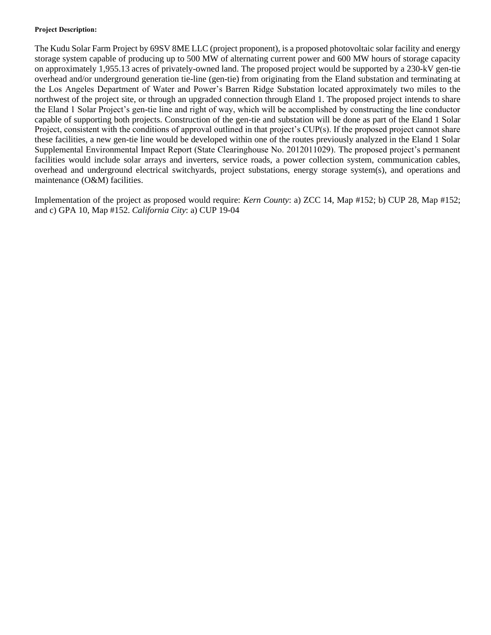## **Project Description:**

The Kudu Solar Farm Project by 69SV 8ME LLC (project proponent), is a proposed photovoltaic solar facility and energy storage system capable of producing up to 500 MW of alternating current power and 600 MW hours of storage capacity on approximately 1,955.13 acres of privately-owned land. The proposed project would be supported by a 230-kV gen-tie overhead and/or underground generation tie-line (gen-tie) from originating from the Eland substation and terminating at the Los Angeles Department of Water and Power's Barren Ridge Substation located approximately two miles to the northwest of the project site, or through an upgraded connection through Eland 1. The proposed project intends to share the Eland 1 Solar Project's gen‐tie line and right of way, which will be accomplished by constructing the line conductor capable of supporting both projects. Construction of the gen-tie and substation will be done as part of the Eland 1 Solar Project, consistent with the conditions of approval outlined in that project's CUP(s). If the proposed project cannot share these facilities, a new gen-tie line would be developed within one of the routes previously analyzed in the Eland 1 Solar Supplemental Environmental Impact Report (State Clearinghouse No. 2012011029). The proposed project's permanent facilities would include solar arrays and inverters, service roads, a power collection system, communication cables, overhead and underground electrical switchyards, project substations, energy storage system(s), and operations and maintenance (O&M) facilities.

Implementation of the project as proposed would require: *Kern County*: a) ZCC 14, Map #152; b) CUP 28, Map #152; and c) GPA 10, Map #152. *California City*: a) CUP 19-04